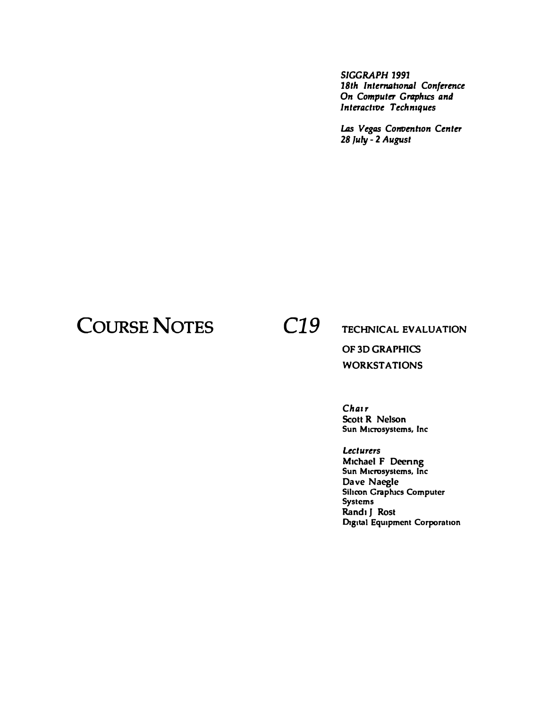*SIGGRAPH 1991 18th lntenrahonal Conference On Computer Graphics and Interactive Techniques* 

*Las Vegas Convenhon Center 28 July* - **2** *August* 

## **COURSE NOTES** *C19*

**TECHNICAL EVALUATION** 

**OF 3D GRAPHICS WORKSTATIONS** 

*Chair*  **Scott R Nelson Sun Microsystems, Inc** 

*Lecturers*  **Michael F Deenng Sun Microsystems, Inc Dave Naegle Sihcon Graplucs Computer Systems Randi J Rost Digital Equipment Corporation**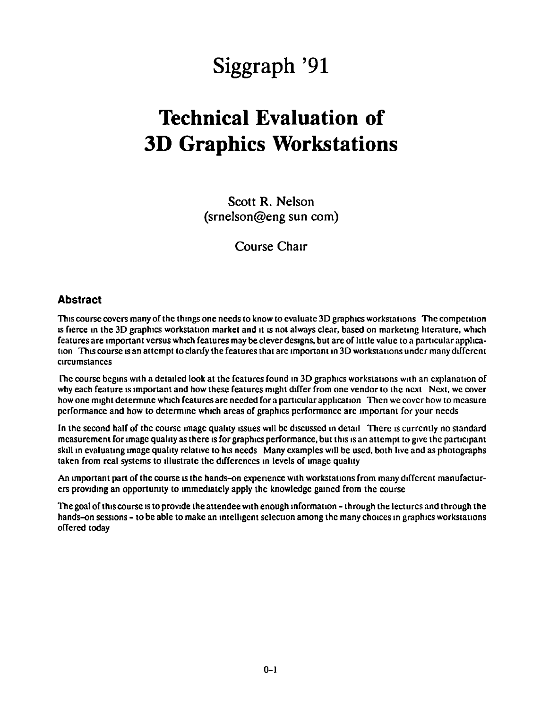# **Siggraph '91**

## **Technical Evaluation of 3D Graphics Workstations**

Scott R. Nelson (srnelson@eng sun com)

Course Chair

### **Abstract**

This course covers many of the things one needs to know to evaluate 3D graphics workstations The competition IS fierce in the 3D graphics workstation market and it is not always clear, based on marketing literature, which features are important versus which features may be clever designs, but are of little value to a particular application This course is an attempt to clarify the features that are important in 3D workstations under many different Circumstances

Inc course begins with a detailed look at the features found in 3D graphics workstations with an explanation of why each feature is important and how these features might differ from one vendor to the next Next, we cover how one might determine which features are needed for a particular application Then we cover how to measure performance and how to determine which areas of graphics performance are important for your needs

In the second half of the course image quality issues will be discussed in detail There is currently no standard measurement for image quality as there is for graphics performance, but this is an attempt to give the participant skill in evaluating image quality relative to his needs Many examples will be used, both live and as photographs taken from real systems to illustrate the differences in levels of image quality

An important part of the course is the hands-on experience with workstations from many different manufacturers providing an opportunity to immediately apply the knowledge gained from the course

The goal of this course is to provide the attendee with enough information – through the lectures and through the hands-on sessions - to be able to make an intelligent selection among the many choices in graphics workstations offered today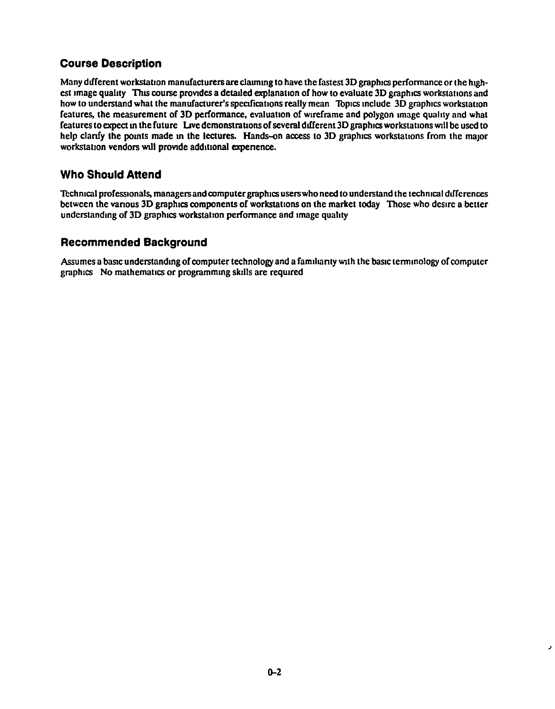## **Course Description**

Many different workstation manufacturers are claiming to have the fastest 3D graphics performance or the highest image quality This course provides a detailed explanation of how to evaluate 3D graphics workstations and how to understand what the manufacturer's specifications really mean Topics include 3D graphics workstation features, the measurement of 30 performance, evaluation of wrreframe and polygon 1mage quality and what features to expect in the future Live demonstrations of several different 3D graphics workstations will be used to help clarify the points made in the lectures. Hands-on access to 3D graphics workstations from the major workstation vendors will provide additional experience.

## **Who Should Attend**

Technical professionals, managers and computer graphics users who need to understand the technical differences between the various 3D graphics components of workstations on the market today Those who desire a better understanding of 3D graphics workstation performance and image quality

### **Recommended Background**

Assumes a basic understanding of computer technology and a familiarity with the basic terminology of computer graphics No mathematics or programming skills are required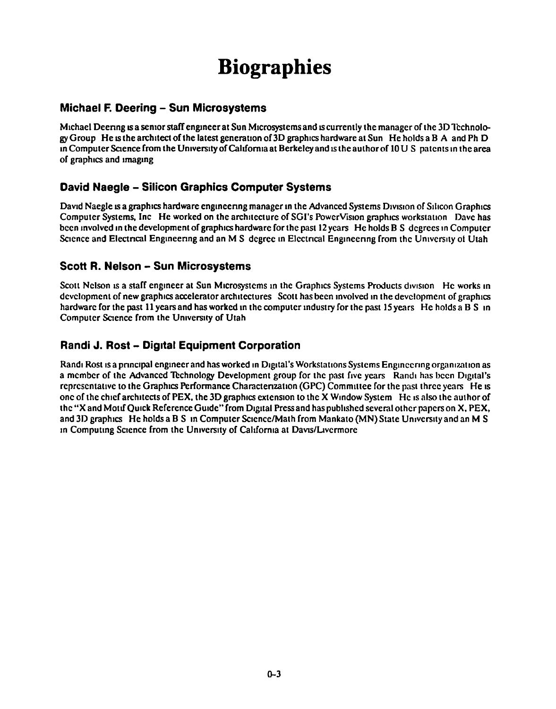# **Biographies**

### **Michael F. Deering - Sun Microsystems**

Michael Deering is a senior staff engineer at Sun Microsystems and is currently the manager of the 3D Technology Group He is the architect of the latest generation of 3D graphics hardware at Sun He holds a B A and Ph D in Computer Science from the University of California at Berkeley and is the author of  $10 U S$  patents in the area of graphics and imaging

## **David Naegle - Silicon Graphics Computer Systems**

David Naegle is a graphics hardware engineering manager in the Advanced Systems Division of Silicon Graphics Computer Systems, Inc He worked on the architecture of SGI's PowerVision graphics workstation Dave has been involved in the development of graphics hardware for the past 12 years He holds B S degrees in Computer Science and Electrical Engineering and an M S degree in Electrical Engineering from the University of Utah

### **Scott R. Nelson - Sun Microsystems**

Scott Nelson is a staff engineer at Sun Microsystems in the Graphics Systems Products division He works in development of new graphics accelerator architectures Scott has been involved in the development of graphics hardware for the past 11 years and has worked in the computer industry for the past 15 years He holds a B S in Computer Science from the University of Utah

## **Randi J. Rost - Dig1tal Equipment Corporation**

Randi Rost is a principal engineer and has worked in Digital's Workstations Systems Engineering organization as a member of the Advanced Technology Development group for the past five years Randi has been Digital's representative to the Graphics Performance Characterization (GPC) Committee for the past three years He is one of the chief architects of PEX, the 3D graphics extension to the X Window System He is also the author of the "X and Motif Quick Reference Guide" from Digital Press and has published several other papers on X, PEX, and 3D graphics He holds a B S in Computer Science/Math from Mankato (MN) State University and an M S in Computing Science from the University of California at Davis/Livermore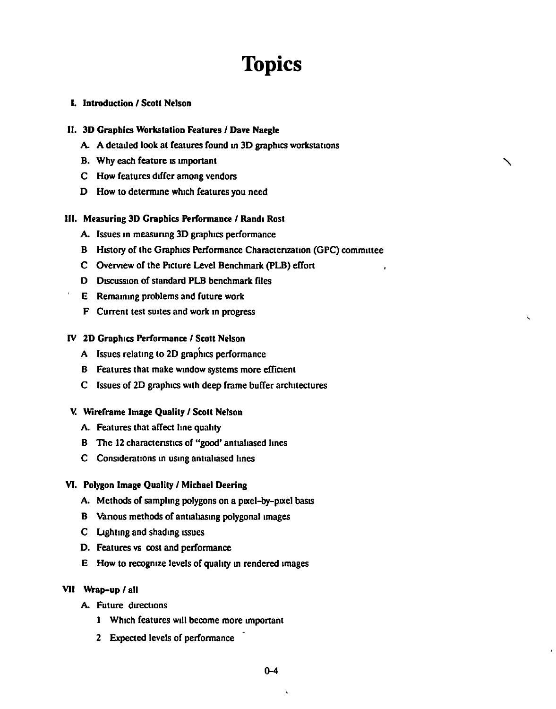## **Topics**

'

### I. Introduction I Scott Nelson

#### II. 30 Graphics Workstation Features I Dave Naegle

- A A detailed look at features found m 3D graphics workstations
- B. Why each feature is important
- C How features differ among vendors
- D How to determme which features you need

#### III. Measuring 3D Graphics Performance / Randı Rost

- A. Issues in measuring 3D graphics performance
- B History of the Graphics Performance Charactenzation (GPC) committee
- C Ovemew of the Picture Level Benchmark (PLB) effort
- D Discussion of standard PLB benchmark files
- E Remammg problems and future work
- F Current test suites and work m progress

#### IV 2D Graphics Performance / Scott Nelson

- A Issues relatmg to 2D graphics performance
- B Features that make wmdow systems more efficient
- C Issues of 2D graphics With deep frame buffer architectures

#### V. Wireframe Image Quality I Scott Nelson

- A. Features that affect line quality
- B The 12 characteristics of "good' antialiased lines
- C Considerations in using antialiased lines

#### VI. Polygon Image Quality / Michael Deering

- A. Methods of sampling polygons on a pixel-by-pixel basis
- B Various methods of antialiasing polygonal images
- C Llghtmg and shadmg ISSues
- D. Features vs cost and performance
- E How to recogniZe levels of quality m rendered unages
- VII Wrap-up / all
	- A. Future directions
		- 1 Which features will become more unportant
		- 2 Expected levels of performance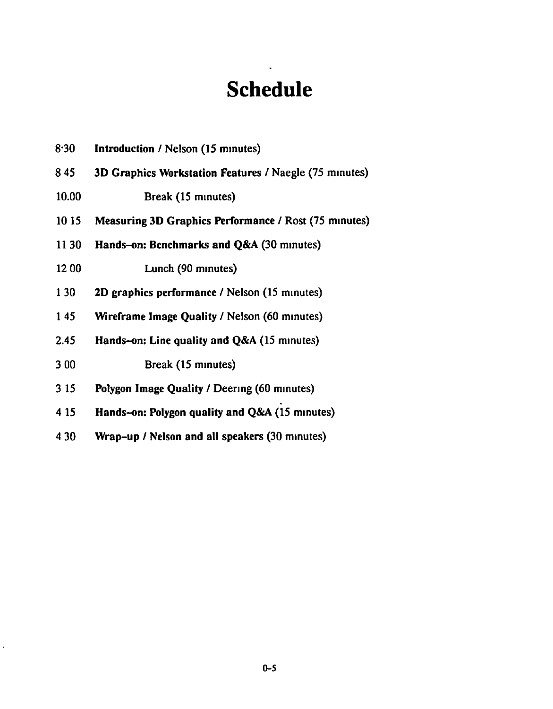## **Schedule**

- 8.30 Introduction / Nelson (15 minutes)
- 8 45 3D Graphics Workstation Features / Naegle (75 minutes)
- 10.00 Break (15 minutes)
- 10 15 Measuring 3D Graphics Performance / Rost (75 minutes)
- 11 30 Hands-on: Benchmarks and Q&A (30 mmutes)
- 12 00 Lunch (90 minutes)
- 1 30 2D graphics performance / Nelson (15 minutes)
- 1 45 Wireframe Image Quality / Nelson (60 minutes)
- 2.45 Hands-on: Line quality and Q&A (15 minutes)
- 3 00 Break {15 mmutes)
- 3 15 Polygon Image Quality / Deering (60 minutes)
- 4 15 Hands-on: Polygon quality and  $Q&A(15 \text{ minutes})$
- 4 30 Wrap-up / Nelson and all speakers (30 minutes)